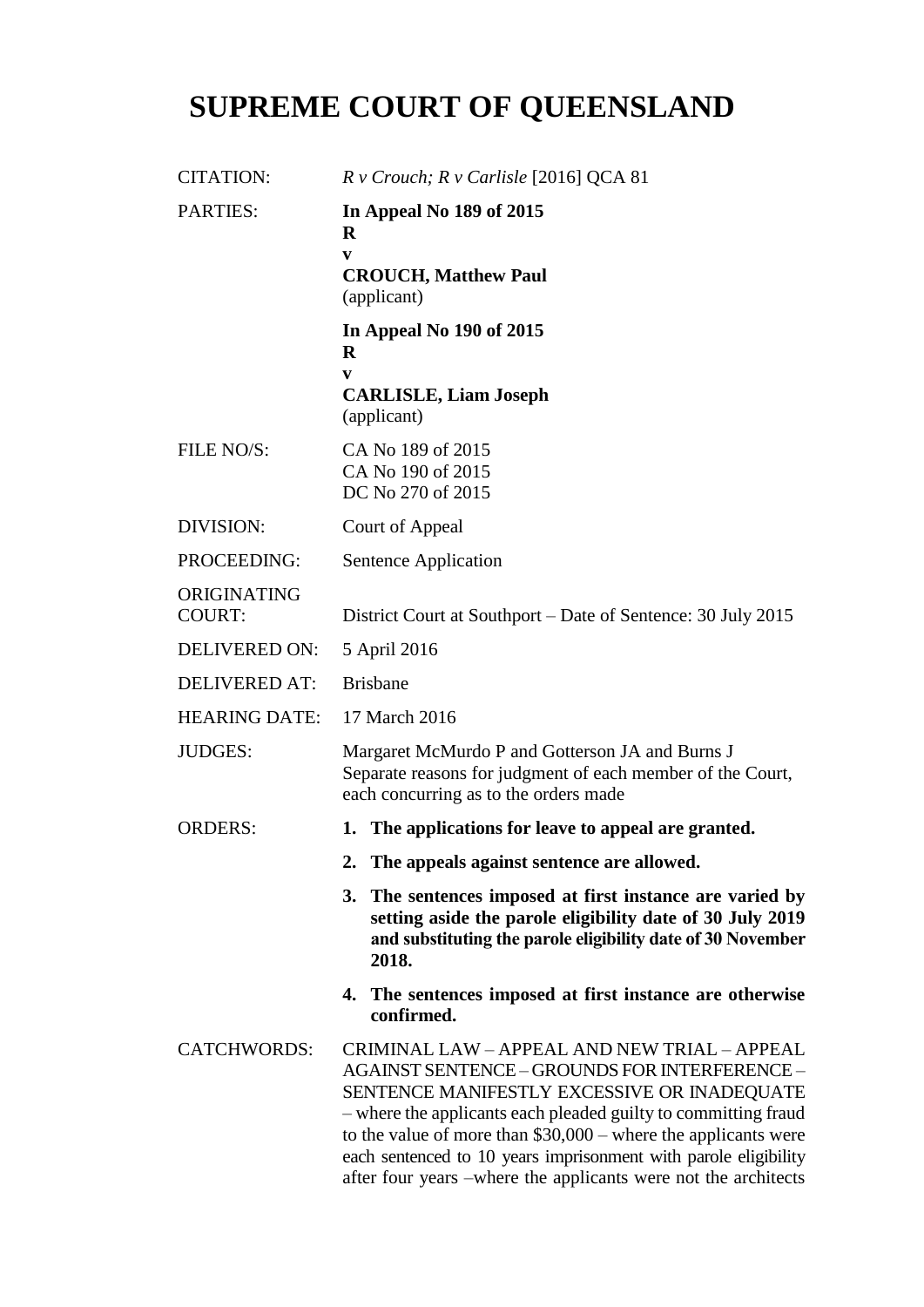# **SUPREME COURT OF QUEENSLAND**

| <b>CITATION:</b>             | $R \vee$ Crouch; $R \vee$ Carlisle [2016] QCA 81                                                                                                                                                                                                                                                                                                                                                                              |
|------------------------------|-------------------------------------------------------------------------------------------------------------------------------------------------------------------------------------------------------------------------------------------------------------------------------------------------------------------------------------------------------------------------------------------------------------------------------|
| <b>PARTIES:</b>              | In Appeal No 189 of 2015<br>$\bf R$<br>V<br><b>CROUCH, Matthew Paul</b><br>(applicant)                                                                                                                                                                                                                                                                                                                                        |
|                              | In Appeal No 190 of 2015<br>R<br>V<br><b>CARLISLE, Liam Joseph</b><br>(applicant)                                                                                                                                                                                                                                                                                                                                             |
| FILE NO/S:                   | CA No 189 of 2015<br>CA No 190 of 2015<br>DC No 270 of 2015                                                                                                                                                                                                                                                                                                                                                                   |
| DIVISION:                    | Court of Appeal                                                                                                                                                                                                                                                                                                                                                                                                               |
| PROCEEDING:                  | Sentence Application                                                                                                                                                                                                                                                                                                                                                                                                          |
| ORIGINATING<br><b>COURT:</b> | District Court at Southport – Date of Sentence: 30 July 2015                                                                                                                                                                                                                                                                                                                                                                  |
| <b>DELIVERED ON:</b>         | 5 April 2016                                                                                                                                                                                                                                                                                                                                                                                                                  |
| <b>DELIVERED AT:</b>         | <b>Brisbane</b>                                                                                                                                                                                                                                                                                                                                                                                                               |
| <b>HEARING DATE:</b>         | 17 March 2016                                                                                                                                                                                                                                                                                                                                                                                                                 |
| <b>JUDGES:</b>               | Margaret McMurdo P and Gotterson JA and Burns J<br>Separate reasons for judgment of each member of the Court,<br>each concurring as to the orders made                                                                                                                                                                                                                                                                        |
| <b>ORDERS:</b>               | 1. The applications for leave to appeal are granted.                                                                                                                                                                                                                                                                                                                                                                          |
|                              | 2. The appeals against sentence are allowed.                                                                                                                                                                                                                                                                                                                                                                                  |
|                              | 3. The sentences imposed at first instance are varied by<br>setting aside the parole eligibility date of 30 July 2019<br>and substituting the parole eligibility date of 30 November<br>2018.                                                                                                                                                                                                                                 |
|                              | 4. The sentences imposed at first instance are otherwise<br>confirmed.                                                                                                                                                                                                                                                                                                                                                        |
| <b>CATCHWORDS:</b>           | CRIMINAL LAW - APPEAL AND NEW TRIAL - APPEAL<br><b>AGAINST SENTENCE - GROUNDS FOR INTERFERENCE -</b><br>SENTENCE MANIFESTLY EXCESSIVE OR INADEQUATE<br>- where the applicants each pleaded guilty to committing fraud<br>to the value of more than $$30,000$ – where the applicants were<br>each sentenced to 10 years imprisonment with parole eligibility<br>after four years –where the applicants were not the architects |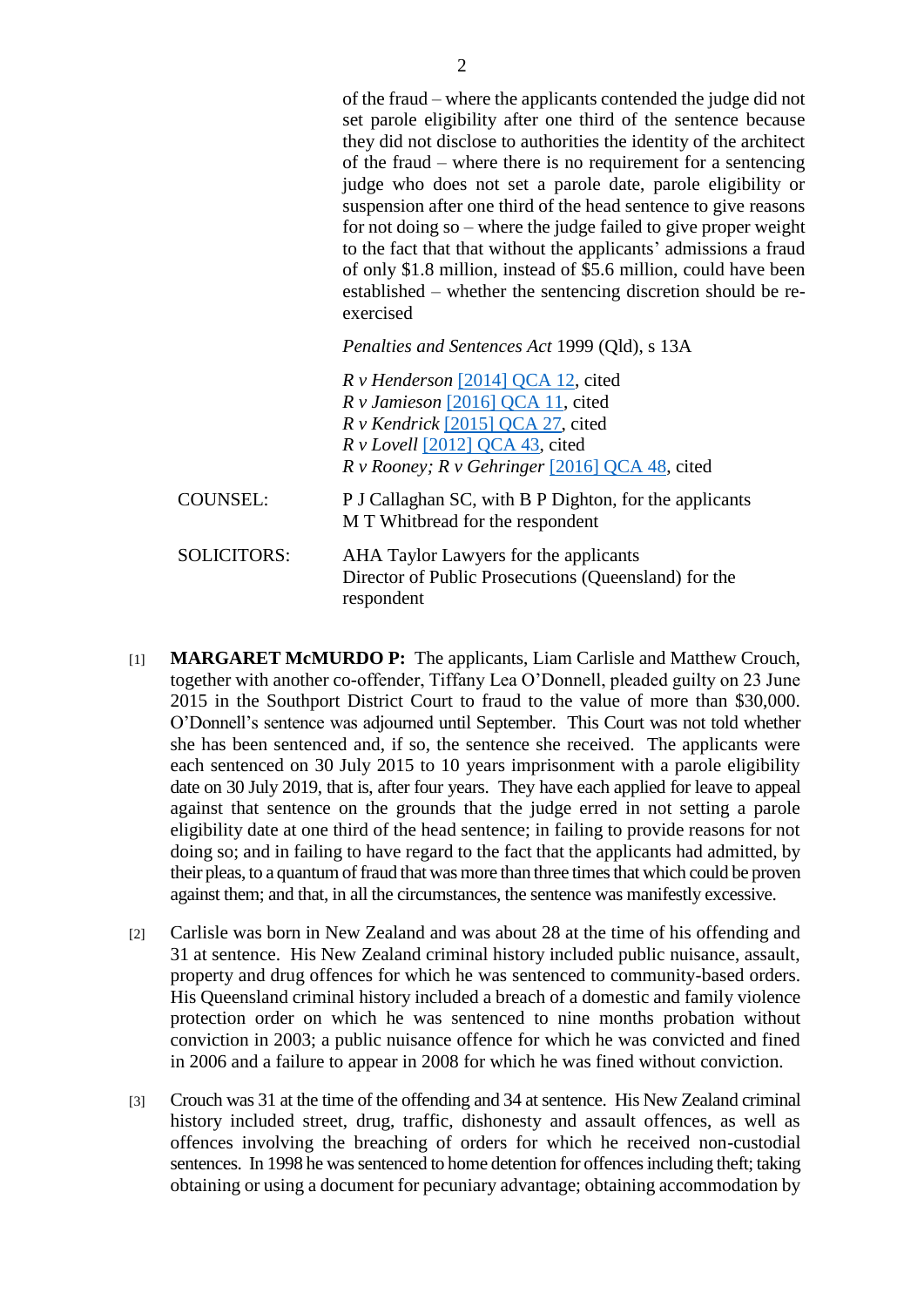of the fraud – where the applicants contended the judge did not set parole eligibility after one third of the sentence because they did not disclose to authorities the identity of the architect of the fraud – where there is no requirement for a sentencing judge who does not set a parole date, parole eligibility or suspension after one third of the head sentence to give reasons for not doing so – where the judge failed to give proper weight to the fact that that without the applicants' admissions a fraud of only \$1.8 million, instead of \$5.6 million, could have been established – whether the sentencing discretion should be reexercised

*Penalties and Sentences Act* 1999 (Qld), s 13A

|                    | R v Henderson [2014] QCA 12, cited                                                            |
|--------------------|-----------------------------------------------------------------------------------------------|
|                    | $Rv$ Jamieson [2016] QCA 11, cited                                                            |
|                    | $R$ v Kendrick [2015] QCA 27, cited                                                           |
|                    | $R$ v Lovell [2012] QCA 43, cited                                                             |
|                    | $R \, v$ Rooney; $R \, v$ Gehringer [2016] QCA 48, cited                                      |
| <b>COUNSEL:</b>    | P J Callaghan SC, with B P Dighton, for the applicants<br>M T Whitbread for the respondent    |
| <b>SOLICITORS:</b> | AHA Taylor Lawyers for the applicants<br>Director of Public Prosecutions (Queensland) for the |

respondent

- [1] **MARGARET McMURDO P:** The applicants, Liam Carlisle and Matthew Crouch, together with another co-offender, Tiffany Lea O'Donnell, pleaded guilty on 23 June 2015 in the Southport District Court to fraud to the value of more than \$30,000. O'Donnell's sentence was adjourned until September. This Court was not told whether she has been sentenced and, if so, the sentence she received. The applicants were each sentenced on 30 July 2015 to 10 years imprisonment with a parole eligibility date on 30 July 2019, that is, after four years. They have each applied for leave to appeal against that sentence on the grounds that the judge erred in not setting a parole eligibility date at one third of the head sentence; in failing to provide reasons for not doing so; and in failing to have regard to the fact that the applicants had admitted, by their pleas, to a quantum of fraud that was more than three times that which could be proven against them; and that, in all the circumstances, the sentence was manifestly excessive.
- [2] Carlisle was born in New Zealand and was about 28 at the time of his offending and 31 at sentence. His New Zealand criminal history included public nuisance, assault, property and drug offences for which he was sentenced to community-based orders. His Queensland criminal history included a breach of a domestic and family violence protection order on which he was sentenced to nine months probation without conviction in 2003; a public nuisance offence for which he was convicted and fined in 2006 and a failure to appear in 2008 for which he was fined without conviction.
- [3] Crouch was 31 at the time of the offending and 34 at sentence. His New Zealand criminal history included street, drug, traffic, dishonesty and assault offences, as well as offences involving the breaching of orders for which he received non-custodial sentences. In 1998 he was sentenced to home detention for offences including theft; taking obtaining or using a document for pecuniary advantage; obtaining accommodation by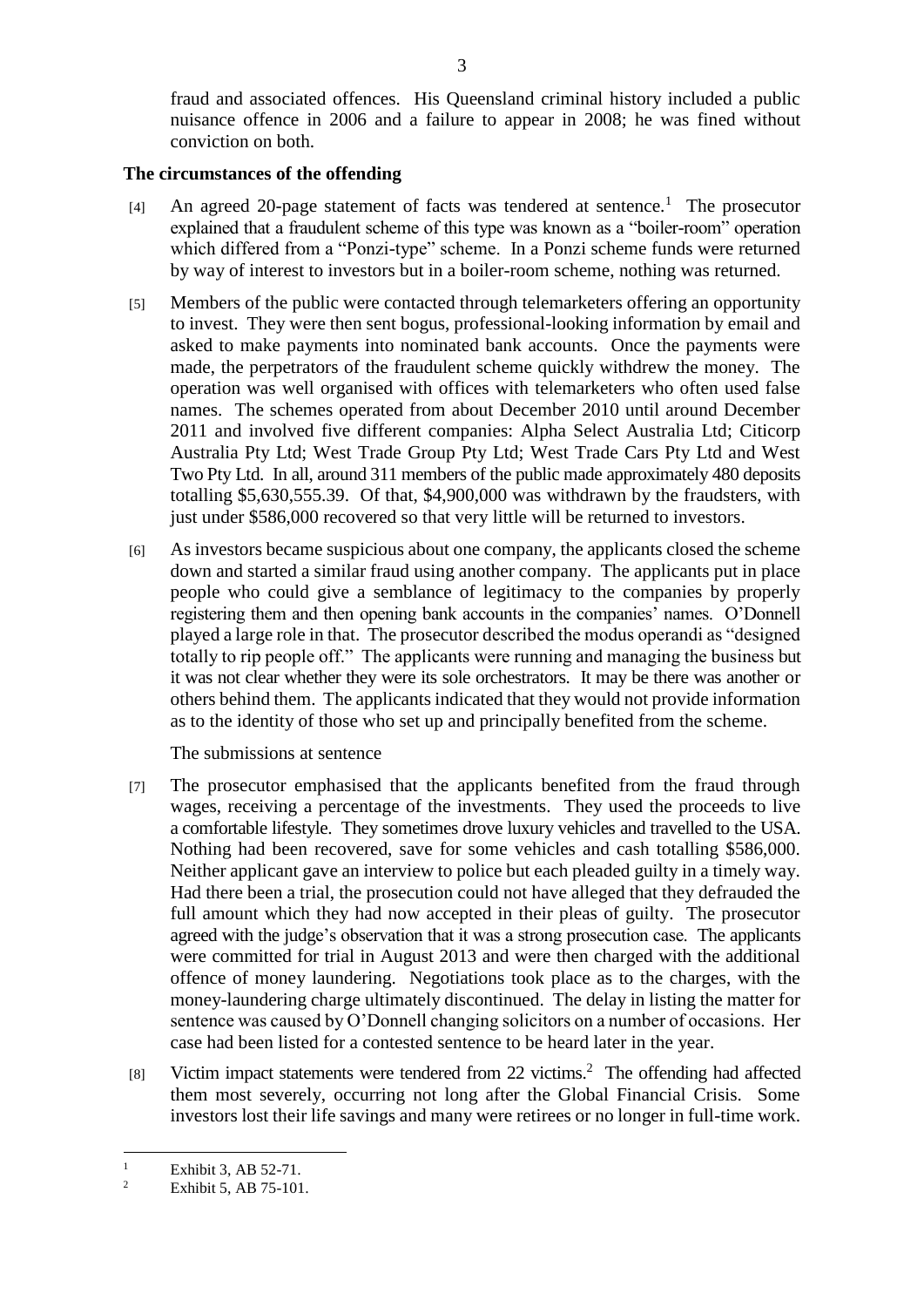fraud and associated offences. His Queensland criminal history included a public nuisance offence in 2006 and a failure to appear in 2008; he was fined without conviction on both.

#### **The circumstances of the offending**

- [4] An agreed 20-page statement of facts was tendered at sentence.<sup>1</sup> The prosecutor explained that a fraudulent scheme of this type was known as a "boiler-room" operation which differed from a "Ponzi-type" scheme. In a Ponzi scheme funds were returned by way of interest to investors but in a boiler-room scheme, nothing was returned.
- [5] Members of the public were contacted through telemarketers offering an opportunity to invest. They were then sent bogus, professional-looking information by email and asked to make payments into nominated bank accounts. Once the payments were made, the perpetrators of the fraudulent scheme quickly withdrew the money. The operation was well organised with offices with telemarketers who often used false names. The schemes operated from about December 2010 until around December 2011 and involved five different companies: Alpha Select Australia Ltd; Citicorp Australia Pty Ltd; West Trade Group Pty Ltd; West Trade Cars Pty Ltd and West Two Pty Ltd. In all, around 311 members of the public made approximately 480 deposits totalling \$5,630,555.39. Of that, \$4,900,000 was withdrawn by the fraudsters, with just under \$586,000 recovered so that very little will be returned to investors.
- [6] As investors became suspicious about one company, the applicants closed the scheme down and started a similar fraud using another company. The applicants put in place people who could give a semblance of legitimacy to the companies by properly registering them and then opening bank accounts in the companies' names. O'Donnell played a large role in that. The prosecutor described the modus operandi as "designed totally to rip people off." The applicants were running and managing the business but it was not clear whether they were its sole orchestrators. It may be there was another or others behind them. The applicants indicated that they would not provide information as to the identity of those who set up and principally benefited from the scheme.

The submissions at sentence

- [7] The prosecutor emphasised that the applicants benefited from the fraud through wages, receiving a percentage of the investments. They used the proceeds to live a comfortable lifestyle. They sometimes drove luxury vehicles and travelled to the USA. Nothing had been recovered, save for some vehicles and cash totalling \$586,000. Neither applicant gave an interview to police but each pleaded guilty in a timely way. Had there been a trial, the prosecution could not have alleged that they defrauded the full amount which they had now accepted in their pleas of guilty. The prosecutor agreed with the judge's observation that it was a strong prosecution case. The applicants were committed for trial in August 2013 and were then charged with the additional offence of money laundering. Negotiations took place as to the charges, with the money-laundering charge ultimately discontinued. The delay in listing the matter for sentence was caused by O'Donnell changing solicitors on a number of occasions. Her case had been listed for a contested sentence to be heard later in the year.
- [8] Victim impact statements were tendered from 22 victims.<sup>2</sup> The offending had affected them most severely, occurring not long after the Global Financial Crisis. Some investors lost their life savings and many were retirees or no longer in full-time work.

 $\frac{1}{2}$  Exhibit 3, AB 52-71.

Exhibit 5, AB 75-101.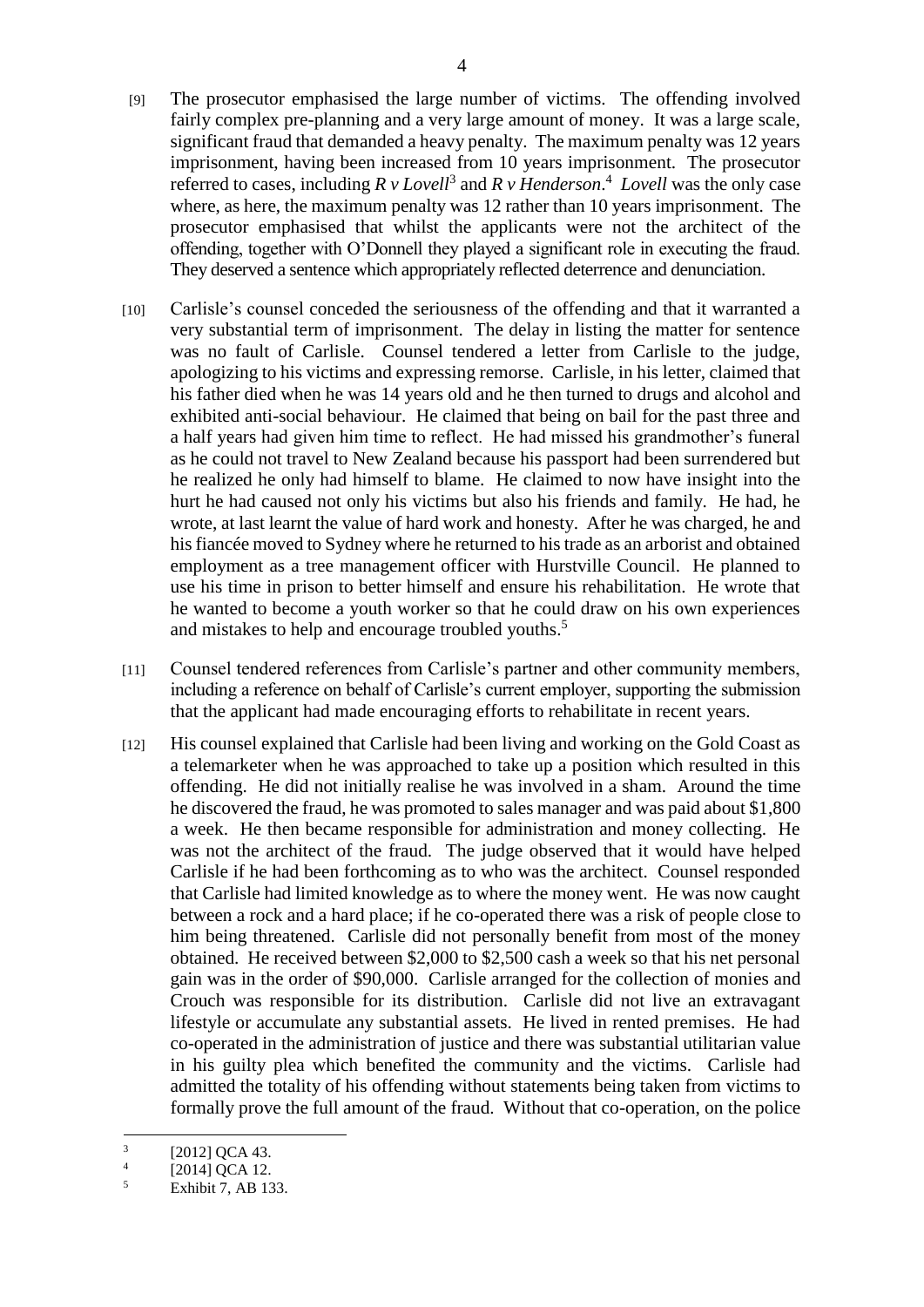- [9] The prosecutor emphasised the large number of victims. The offending involved fairly complex pre-planning and a very large amount of money. It was a large scale, significant fraud that demanded a heavy penalty. The maximum penalty was 12 years imprisonment, having been increased from 10 years imprisonment. The prosecutor referred to cases, including  $R v \text{ Lovell}^3$  and  $R v \text{ Henderson}^4$ . Lovell was the only case where, as here, the maximum penalty was 12 rather than 10 years imprisonment. The prosecutor emphasised that whilst the applicants were not the architect of the offending, together with O'Donnell they played a significant role in executing the fraud. They deserved a sentence which appropriately reflected deterrence and denunciation.
- [10] Carlisle's counsel conceded the seriousness of the offending and that it warranted a very substantial term of imprisonment. The delay in listing the matter for sentence was no fault of Carlisle. Counsel tendered a letter from Carlisle to the judge, apologizing to his victims and expressing remorse. Carlisle, in his letter, claimed that his father died when he was 14 years old and he then turned to drugs and alcohol and exhibited anti-social behaviour. He claimed that being on bail for the past three and a half years had given him time to reflect. He had missed his grandmother's funeral as he could not travel to New Zealand because his passport had been surrendered but he realized he only had himself to blame. He claimed to now have insight into the hurt he had caused not only his victims but also his friends and family. He had, he wrote, at last learnt the value of hard work and honesty. After he was charged, he and his fiancée moved to Sydney where he returned to his trade as an arborist and obtained employment as a tree management officer with Hurstville Council. He planned to use his time in prison to better himself and ensure his rehabilitation. He wrote that he wanted to become a youth worker so that he could draw on his own experiences and mistakes to help and encourage troubled youths.<sup>5</sup>
- [11] Counsel tendered references from Carlisle's partner and other community members, including a reference on behalf of Carlisle's current employer, supporting the submission that the applicant had made encouraging efforts to rehabilitate in recent years.
- [12] His counsel explained that Carlisle had been living and working on the Gold Coast as a telemarketer when he was approached to take up a position which resulted in this offending. He did not initially realise he was involved in a sham. Around the time he discovered the fraud, he was promoted to sales manager and was paid about \$1,800 a week. He then became responsible for administration and money collecting. He was not the architect of the fraud. The judge observed that it would have helped Carlisle if he had been forthcoming as to who was the architect. Counsel responded that Carlisle had limited knowledge as to where the money went. He was now caught between a rock and a hard place; if he co-operated there was a risk of people close to him being threatened. Carlisle did not personally benefit from most of the money obtained. He received between \$2,000 to \$2,500 cash a week so that his net personal gain was in the order of \$90,000. Carlisle arranged for the collection of monies and Crouch was responsible for its distribution. Carlisle did not live an extravagant lifestyle or accumulate any substantial assets. He lived in rented premises. He had co-operated in the administration of justice and there was substantial utilitarian value in his guilty plea which benefited the community and the victims. Carlisle had admitted the totality of his offending without statements being taken from victims to formally prove the full amount of the fraud. Without that co-operation, on the police

 $\frac{1}{3}$ [2012] QCA 43.

<sup>4</sup> [2014] OCA 12.

<sup>5</sup> Exhibit 7, AB 133.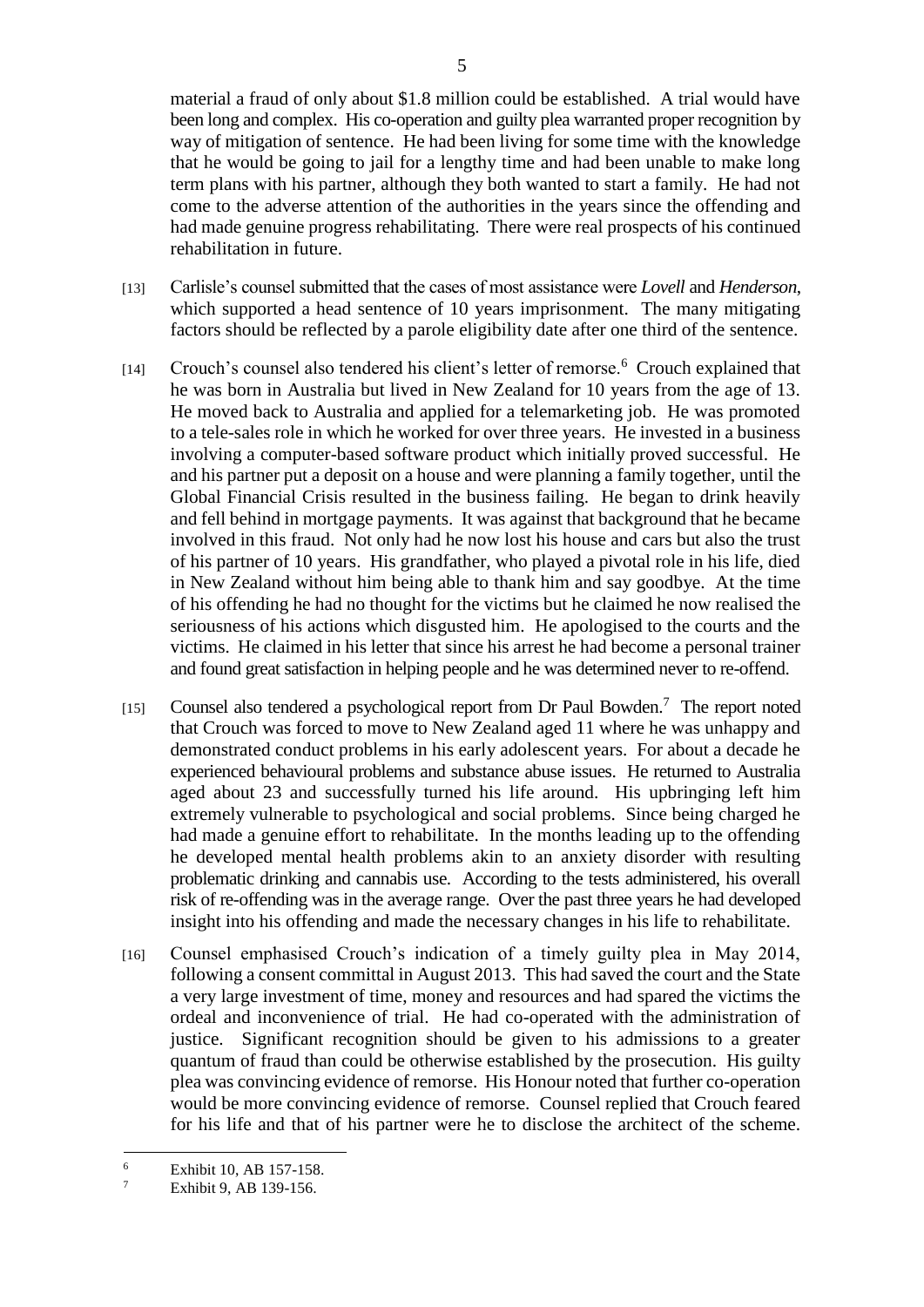material a fraud of only about \$1.8 million could be established. A trial would have been long and complex. His co-operation and guilty plea warranted proper recognition by way of mitigation of sentence. He had been living for some time with the knowledge that he would be going to jail for a lengthy time and had been unable to make long term plans with his partner, although they both wanted to start a family. He had not come to the adverse attention of the authorities in the years since the offending and had made genuine progress rehabilitating. There were real prospects of his continued rehabilitation in future.

- [13] Carlisle's counsel submitted that the cases of most assistance were *Lovell* and *Henderson*, which supported a head sentence of 10 years imprisonment. The many mitigating factors should be reflected by a parole eligibility date after one third of the sentence.
- [14] Crouch's counsel also tendered his client's letter of remorse.<sup>6</sup> Crouch explained that he was born in Australia but lived in New Zealand for 10 years from the age of 13. He moved back to Australia and applied for a telemarketing job. He was promoted to a tele-sales role in which he worked for over three years. He invested in a business involving a computer-based software product which initially proved successful. He and his partner put a deposit on a house and were planning a family together, until the Global Financial Crisis resulted in the business failing. He began to drink heavily and fell behind in mortgage payments. It was against that background that he became involved in this fraud. Not only had he now lost his house and cars but also the trust of his partner of 10 years. His grandfather, who played a pivotal role in his life, died in New Zealand without him being able to thank him and say goodbye. At the time of his offending he had no thought for the victims but he claimed he now realised the seriousness of his actions which disgusted him. He apologised to the courts and the victims. He claimed in his letter that since his arrest he had become a personal trainer and found great satisfaction in helping people and he was determined never to re-offend.
- [15] Counsel also tendered a psychological report from Dr Paul Bowden.<sup>7</sup> The report noted that Crouch was forced to move to New Zealand aged 11 where he was unhappy and demonstrated conduct problems in his early adolescent years. For about a decade he experienced behavioural problems and substance abuse issues. He returned to Australia aged about 23 and successfully turned his life around. His upbringing left him extremely vulnerable to psychological and social problems. Since being charged he had made a genuine effort to rehabilitate. In the months leading up to the offending he developed mental health problems akin to an anxiety disorder with resulting problematic drinking and cannabis use. According to the tests administered, his overall risk of re-offending was in the average range. Over the past three years he had developed insight into his offending and made the necessary changes in his life to rehabilitate.
- [16] Counsel emphasised Crouch's indication of a timely guilty plea in May 2014, following a consent committal in August 2013. This had saved the court and the State a very large investment of time, money and resources and had spared the victims the ordeal and inconvenience of trial. He had co-operated with the administration of justice. Significant recognition should be given to his admissions to a greater quantum of fraud than could be otherwise established by the prosecution. His guilty plea was convincing evidence of remorse. His Honour noted that further co-operation would be more convincing evidence of remorse. Counsel replied that Crouch feared for his life and that of his partner were he to disclose the architect of the scheme.

 $\frac{6}{7}$  Exhibit 10, AB 157-158.

Exhibit 9, AB 139-156.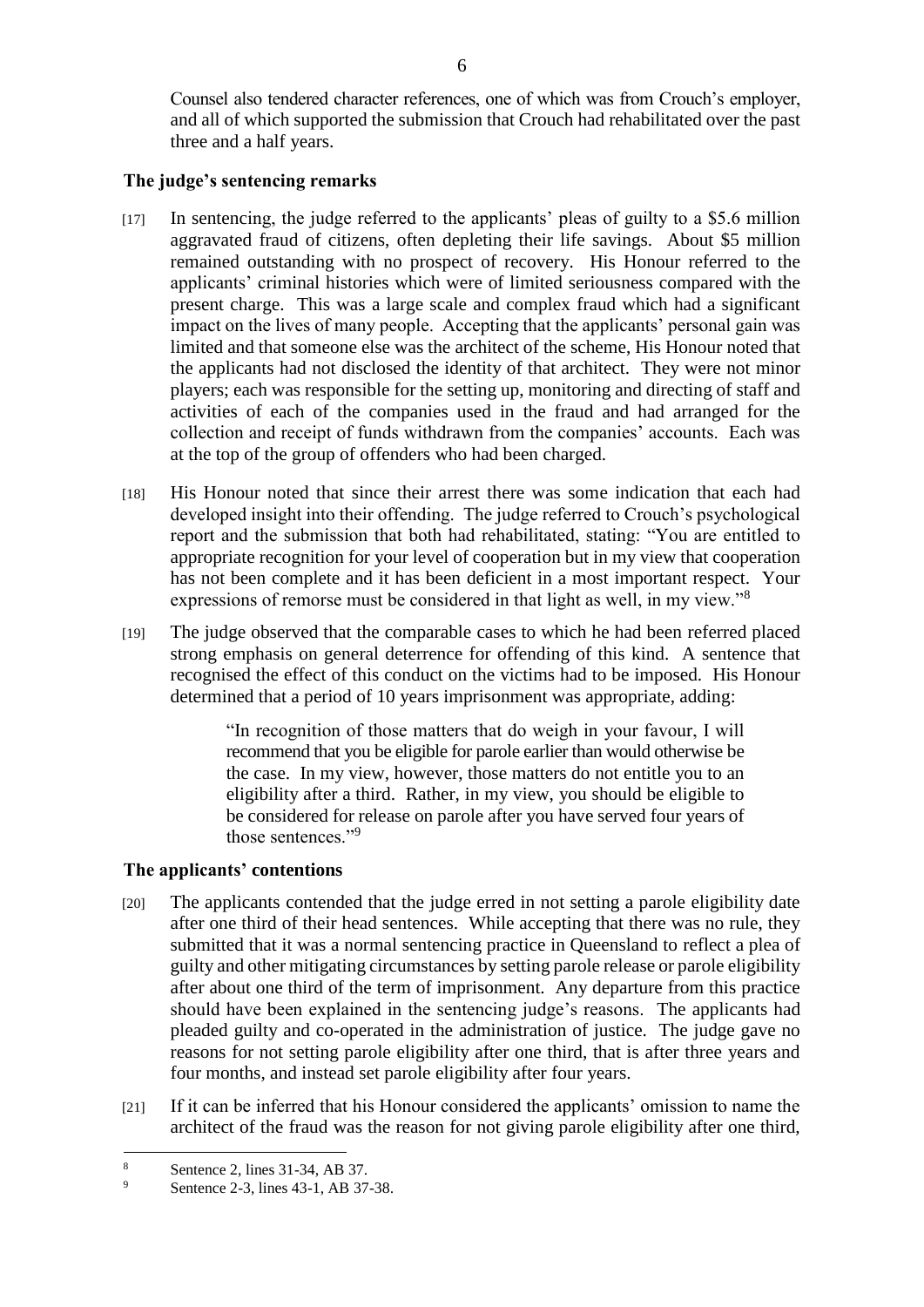Counsel also tendered character references, one of which was from Crouch's employer, and all of which supported the submission that Crouch had rehabilitated over the past three and a half years.

#### **The judge's sentencing remarks**

- [17] In sentencing, the judge referred to the applicants' pleas of guilty to a \$5.6 million aggravated fraud of citizens, often depleting their life savings. About \$5 million remained outstanding with no prospect of recovery. His Honour referred to the applicants' criminal histories which were of limited seriousness compared with the present charge. This was a large scale and complex fraud which had a significant impact on the lives of many people. Accepting that the applicants' personal gain was limited and that someone else was the architect of the scheme, His Honour noted that the applicants had not disclosed the identity of that architect. They were not minor players; each was responsible for the setting up, monitoring and directing of staff and activities of each of the companies used in the fraud and had arranged for the collection and receipt of funds withdrawn from the companies' accounts. Each was at the top of the group of offenders who had been charged.
- [18] His Honour noted that since their arrest there was some indication that each had developed insight into their offending. The judge referred to Crouch's psychological report and the submission that both had rehabilitated, stating: "You are entitled to appropriate recognition for your level of cooperation but in my view that cooperation has not been complete and it has been deficient in a most important respect. Your expressions of remorse must be considered in that light as well, in my view."<sup>8</sup>
- [19] The judge observed that the comparable cases to which he had been referred placed strong emphasis on general deterrence for offending of this kind. A sentence that recognised the effect of this conduct on the victims had to be imposed. His Honour determined that a period of 10 years imprisonment was appropriate, adding:

"In recognition of those matters that do weigh in your favour, I will recommend that you be eligible for parole earlier than would otherwise be the case. In my view, however, those matters do not entitle you to an eligibility after a third. Rather, in my view, you should be eligible to be considered for release on parole after you have served four years of those sentences<sup>"9</sup>

## **The applicants' contentions**

- [20] The applicants contended that the judge erred in not setting a parole eligibility date after one third of their head sentences. While accepting that there was no rule, they submitted that it was a normal sentencing practice in Queensland to reflect a plea of guilty and other mitigating circumstances by setting parole release or parole eligibility after about one third of the term of imprisonment. Any departure from this practice should have been explained in the sentencing judge's reasons. The applicants had pleaded guilty and co-operated in the administration of justice. The judge gave no reasons for not setting parole eligibility after one third, that is after three years and four months, and instead set parole eligibility after four years.
- [21] If it can be inferred that his Honour considered the applicants' omission to name the architect of the fraud was the reason for not giving parole eligibility after one third,

<sup>&</sup>lt;sup>8</sup><br>Sentence 2, lines 31-34, AB 37.<br>Sentence 2, lines 42, 1, AB 27.

Sentence 2-3, lines 43-1, AB 37-38.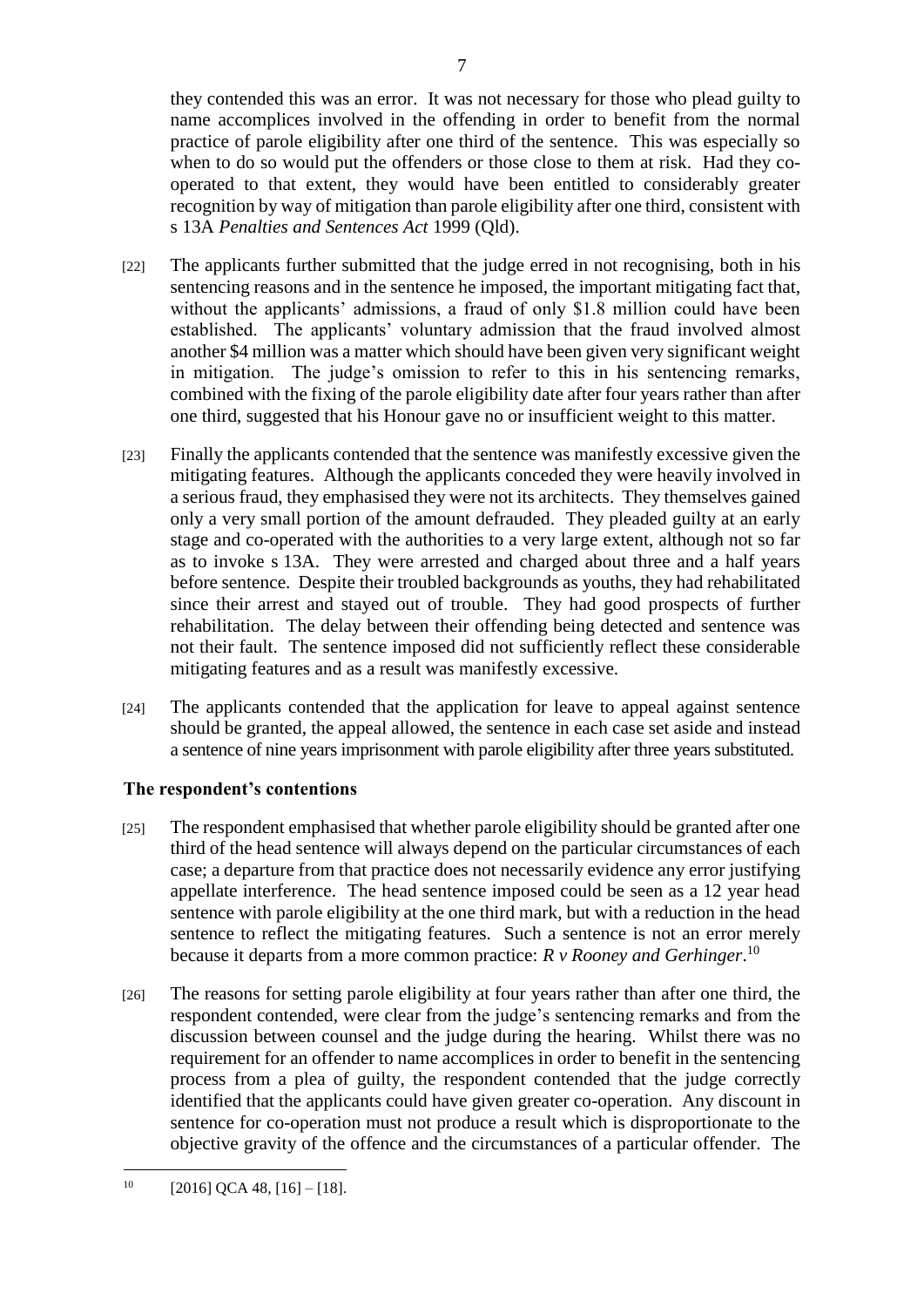they contended this was an error. It was not necessary for those who plead guilty to name accomplices involved in the offending in order to benefit from the normal practice of parole eligibility after one third of the sentence. This was especially so when to do so would put the offenders or those close to them at risk. Had they cooperated to that extent, they would have been entitled to considerably greater recognition by way of mitigation than parole eligibility after one third, consistent with s 13A *Penalties and Sentences Act* 1999 (Qld).

- [22] The applicants further submitted that the judge erred in not recognising, both in his sentencing reasons and in the sentence he imposed, the important mitigating fact that, without the applicants' admissions, a fraud of only \$1.8 million could have been established. The applicants' voluntary admission that the fraud involved almost another \$4 million was a matter which should have been given very significant weight in mitigation. The judge's omission to refer to this in his sentencing remarks, combined with the fixing of the parole eligibility date after four years rather than after one third, suggested that his Honour gave no or insufficient weight to this matter.
- [23] Finally the applicants contended that the sentence was manifestly excessive given the mitigating features. Although the applicants conceded they were heavily involved in a serious fraud, they emphasised they were not its architects. They themselves gained only a very small portion of the amount defrauded. They pleaded guilty at an early stage and co-operated with the authorities to a very large extent, although not so far as to invoke s 13A. They were arrested and charged about three and a half years before sentence. Despite their troubled backgrounds as youths, they had rehabilitated since their arrest and stayed out of trouble. They had good prospects of further rehabilitation. The delay between their offending being detected and sentence was not their fault. The sentence imposed did not sufficiently reflect these considerable mitigating features and as a result was manifestly excessive.
- [24] The applicants contended that the application for leave to appeal against sentence should be granted, the appeal allowed, the sentence in each case set aside and instead a sentence of nine years imprisonment with parole eligibility after three years substituted.

## **The respondent's contentions**

- [25] The respondent emphasised that whether parole eligibility should be granted after one third of the head sentence will always depend on the particular circumstances of each case; a departure from that practice does not necessarily evidence any error justifying appellate interference. The head sentence imposed could be seen as a 12 year head sentence with parole eligibility at the one third mark, but with a reduction in the head sentence to reflect the mitigating features. Such a sentence is not an error merely because it departs from a more common practice: *R v Rooney and Gerhinger*. 10
- [26] The reasons for setting parole eligibility at four years rather than after one third, the respondent contended, were clear from the judge's sentencing remarks and from the discussion between counsel and the judge during the hearing. Whilst there was no requirement for an offender to name accomplices in order to benefit in the sentencing process from a plea of guilty, the respondent contended that the judge correctly identified that the applicants could have given greater co-operation. Any discount in sentence for co-operation must not produce a result which is disproportionate to the objective gravity of the offence and the circumstances of a particular offender. The

 $10$  [2016] QCA 48, [16] – [18].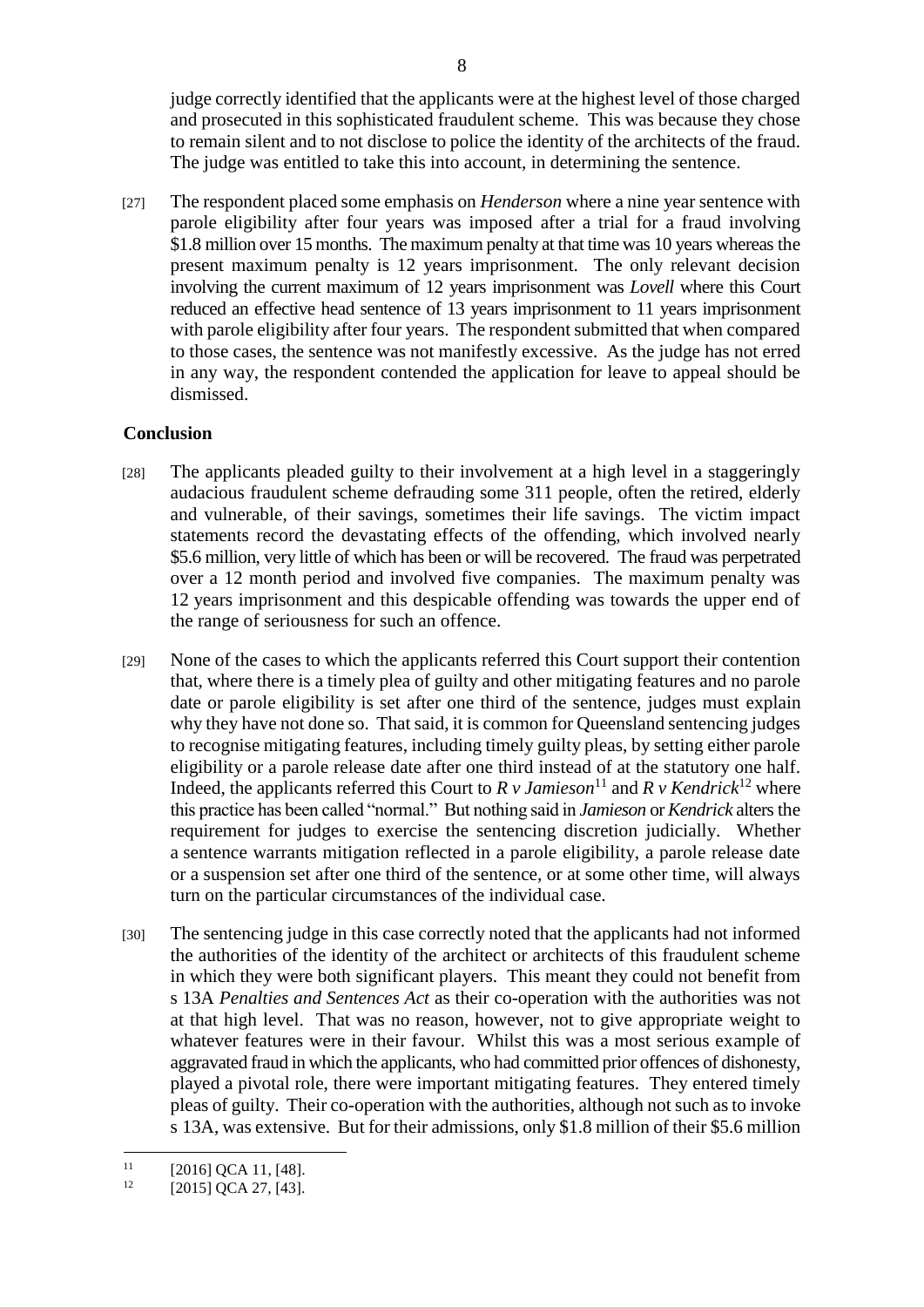judge correctly identified that the applicants were at the highest level of those charged and prosecuted in this sophisticated fraudulent scheme. This was because they chose to remain silent and to not disclose to police the identity of the architects of the fraud. The judge was entitled to take this into account, in determining the sentence.

[27] The respondent placed some emphasis on *Henderson* where a nine year sentence with parole eligibility after four years was imposed after a trial for a fraud involving \$1.8 million over 15 months. The maximum penalty at that time was 10 years whereas the present maximum penalty is 12 years imprisonment. The only relevant decision involving the current maximum of 12 years imprisonment was *Lovell* where this Court reduced an effective head sentence of 13 years imprisonment to 11 years imprisonment with parole eligibility after four years. The respondent submitted that when compared to those cases, the sentence was not manifestly excessive. As the judge has not erred in any way, the respondent contended the application for leave to appeal should be dismissed.

## **Conclusion**

- [28] The applicants pleaded guilty to their involvement at a high level in a staggeringly audacious fraudulent scheme defrauding some 311 people, often the retired, elderly and vulnerable, of their savings, sometimes their life savings. The victim impact statements record the devastating effects of the offending, which involved nearly \$5.6 million, very little of which has been or will be recovered. The fraud was perpetrated over a 12 month period and involved five companies. The maximum penalty was 12 years imprisonment and this despicable offending was towards the upper end of the range of seriousness for such an offence.
- [29] None of the cases to which the applicants referred this Court support their contention that, where there is a timely plea of guilty and other mitigating features and no parole date or parole eligibility is set after one third of the sentence, judges must explain why they have not done so. That said, it is common for Queensland sentencing judges to recognise mitigating features, including timely guilty pleas, by setting either parole eligibility or a parole release date after one third instead of at the statutory one half. Indeed, the applicants referred this Court to  $R v$  Jamieson<sup>11</sup> and  $R v$  *Kendrick*<sup>12</sup> where this practice has been called "normal." But nothing said in *Jamieson* or *Kendrick* alters the requirement for judges to exercise the sentencing discretion judicially. Whether a sentence warrants mitigation reflected in a parole eligibility, a parole release date or a suspension set after one third of the sentence, or at some other time, will always turn on the particular circumstances of the individual case.
- [30] The sentencing judge in this case correctly noted that the applicants had not informed the authorities of the identity of the architect or architects of this fraudulent scheme in which they were both significant players. This meant they could not benefit from s 13A *Penalties and Sentences Act* as their co-operation with the authorities was not at that high level. That was no reason, however, not to give appropriate weight to whatever features were in their favour. Whilst this was a most serious example of aggravated fraud in which the applicants, who had committed prior offences of dishonesty, played a pivotal role, there were important mitigating features. They entered timely pleas of guilty. Their co-operation with the authorities, although not such as to invoke s 13A, was extensive. But for their admissions, only \$1.8 million of their \$5.6 million

 $11$  $^{11}$  [2016] QCA 11, [48].<br> $^{12}$  [2015] QCA 27 [43]

<sup>[2015]</sup> QCA 27, [43].